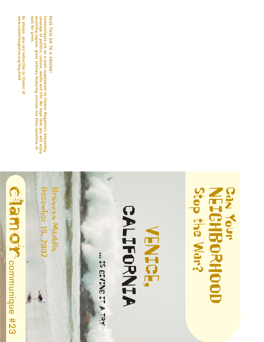

www.clamormagazine.org/buy.html As always, you can subscribe to Clamor at **www.clamormagazine.org/buy.html always, you can subscribe to Clamor at**

coverage of politics, culture, media and life. We hope that you will enjoy<br>receiving regular, great articles featuring articles too time-sensitive to Communiques are an e-mail supplement to Clamor Magazine's bimonthly wait for print. **wait for print. coverage of politics, culture, media and life. We hope that you will enjoy Communiques are an e-mail supplement to Clamor Magazine's bimonthly eceiving regular, great articles featuring articles too time-sensitive to**

**PASS THIS ON TO A FRIEND! PASS THIS ON TO A FRIEND!**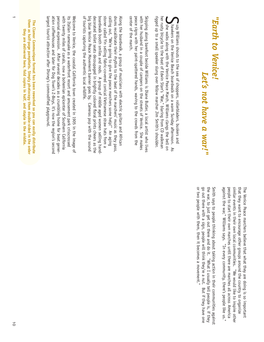## "Earth to Venice! *"Earth to Venice! Let's not have a war!"* Let's not have a war!"

rigged up to a small speaker slung over fellow marcher Jim Smith's shoulder her rusty bicycle to the beat of Edwin Star's "War," blaring from CD walkman rigged up to a small speaker slung over fellow marcher Jim Smith's shoulder. her rusty bicycle to the beat of Edwin Starr's "War," blaring from CD walkman Sshe walks along with the Venice Peace March, Williams clangs the bell on hawkers on the Venice Beach boardwalk on a warm Sunday afternoon. As uzy Williams shouts to the sea of shoppers, rollerbladers, buskers and • uzy Williams shouts to the sea of shoppers, rollerbladers, buskers and I she walks along with the Venice Peace March, Williams clangs the bell on hawkers on the Venice Beach boardwalk on a warm Sunday afternoon. As

peace signs with her paint-spattered hands, waving to the crowds from the with her husband in a couple of campers on the streets of Venice. She makes Skipping along barefoot beside Williams is Diane Butler, a local artist who lives center of the march. center of the march. peace signs with her paint-spattered hands, waving to the crowds from the with her husband in a couple of campers on the streets of Venice. She makes Skipping along barefoot beside Williams is Diane Butler, a local artist who lives

of tourists capturing the authentic local wildlife. big blue Venice Peace Movement banner goes by. Cameras pop with the sound decorated toilet seats decoupaged in brightly colored floral prints cheers as the boardwalk booth smiles and nods. A group of middle aged women selling handstoner called Yin selling fabric-covered conical Vietnamese straw hats from a calling out, "We're going to give the peace marchers some help!" An aging drums recalibrate their rhythm to the beat of the marchers' music as they pass, Along the boardwalk, a group of musicians with electric guitars and African big blue Venice Peace Movement banner goes by. Cameras pop with the sound boardwalk booth smiles and nods. A group of middle aged women selling handstoner called Yin selling fabric-covered conical Vietnamese straw hats from a calling out, "We're going to give the peace marchers some help!" An aging Along the boardwalk, a group of musicians with electric guitars and African ecorated toilet seats decoupaged in brightly colored floral prints cheers as the rums recalibrate their rhythm to the beat of the marchers' music as they pass, tourists capturing the authentic local wildlife.

ation coffeehouses and later for Dog Town's 2-Boys, it's now the region's second personal expression. After several decades as a crumbling home for beat generwith twenty miles of canals, now a bohemian epicenter of Southern California largest tourist attraction after Disney's commodified playground its Italian namesake as a waterfront resort and amusement park crisscrossed Welcome to Venice, the coastal California town created in 1905 in the image of largest tourist attraction after Disney's commodified playground. ation coffeehouses and later for Dog Town's Z-Boys, it's now the region's second personal expression. After several decades as a crumbling home for beat generwith twenty miles of canals, now a bohemian epicenter of Southern California its Italian namesake as a waterfront resort and amusement park crisscrossed Welcome to Venice, the coastal California town created in 1905 in the image of

them as half-page pamphlets. Simply photocopy them double-sided in the order **them as half-page pamphlets. Simply photocopy them double-sided in the order** The Clamor Communique format has been reworked so you can easily distribute **The Clamor Communique format has been reworked so you can easily distribute** they are delivered here, fold copies in half, and staple in the middle. **they are delivered here, fold copies in half, and staple in the middle.**

> similar events in their own local communities. "We would like to inspire other against the war," Williams says. "In every community, there's people like us." people to start their own marches until there are marches all across America that they want to encourage other groups around the country to organize The Venice Peace marchers believe that what they are doing is so important against the war," Williams says. "In every community, there's people like us." people to start their own marches until there are marches all across America similar events in their own local communities. "We would like to inspire other that they want to encourage other groups around the country to organize The Venice Peace marchers believe that what they are doing is so important

or two people with them, then it becomes a movement." go out there with a sign, people will think they're a nut. But if they have one the war, to just get out there and do it. "What I usually tell people is, if they Smith says to people thinking about taking action in their communities against or two people with them, then it becomes a movement." the war, to just get out there and do it. "What I usually tell people is, if they Smith says to people thinking about taking action in their communities against out there with a sign, people will think they're a nut. But if they have one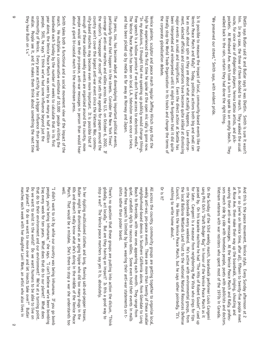| march. He multiplies a conservative estimate of 10,000 people visiting the<br>realize. People see it, and it makes them think about something the next time<br>community of Venice. Every peace activity has a bigger influence than people<br>people. Still, he says "I think we've had some influence beyond just the<br>year alone, the Venice Peace March was seen by as many as half a million<br>they hear Bush on t.v."<br>boardwalk each Sunday by the number of weeks to calculate that in its first                                                      | enough of these smaller weekly events are organized around the country, more<br>nity-based marches may become even more important. It is possible that if<br>Smith takes both a functional and a social movement view of the impact of the<br>about a giant bi-coastal march in the mainstream press.<br>people would see their pro-peace, anti-war messages in person than would hear | country won't cover the largest anti-war event since the Vietnam War, commu-<br>the nation's "newspaper of record" that sets the agenda for papers around the<br>coverage of anti-war marches and rallies across the U.S. on October 6, 2002.<br>particularly those that happen in the streets. Consider the New York Times'<br>The press, too, has become adept at downplaying important political events<br>$\pm$ | "In my delusions, I thought that me speaking up publicly would change things.<br>high he experienced the first time he spoke at the open mic rally is gone now.<br>and has been picked up by media as far away as Norway and Japan.<br>The Venice Peace March has been on local L.A. television news once or twice,<br>Free speech is a hollow promise if we don't have access to electronic media."<br>Venice painter, sculptor and peace march regular Jeffrey Hirsch says that the                                                 | major events as small and insignificant. Even the direct action at Seattle has<br>ment, elected officials and corporations have become quite skilled at dismissing<br>the corporate globalization debate.<br>been interpreted and reinterpreted until it might be forgotten that it did quite<br>be as much about spin as they are about what actually happens. Law enforce-<br>Venice Peace March and Rally? Today, political actions both big and small can<br>Is it possible to measure the impact of local, community-based events like the<br>literally stop the World Trade Organization in its tracks and change the terms of | route, for once clear of didgeridoo players, henna tattoo artists, and pick-<br>"We preserved our street," Smith says, with evident pride<br>walked back in the rain, certain they had done the right thing.<br>pockets. At Windward Ave. each took a turn to speak to an empty beach.<br>him. In any case, the three of them decided to march. They walked the usual<br>Dietlin says Butler said it and Butler says it was Dietlin. Smith is sure it wasn't<br>They                       |
|--------------------------------------------------------------------------------------------------------------------------------------------------------------------------------------------------------------------------------------------------------------------------------------------------------------------------------------------------------------------------------------------------------------------------------------------------------------------------------------------------------------------------------------------------------------------|----------------------------------------------------------------------------------------------------------------------------------------------------------------------------------------------------------------------------------------------------------------------------------------------------------------------------------------------------------------------------------------|---------------------------------------------------------------------------------------------------------------------------------------------------------------------------------------------------------------------------------------------------------------------------------------------------------------------------------------------------------------------------------------------------------------------|---------------------------------------------------------------------------------------------------------------------------------------------------------------------------------------------------------------------------------------------------------------------------------------------------------------------------------------------------------------------------------------------------------------------------------------------------------------------------------------------------------------------------------------|--------------------------------------------------------------------------------------------------------------------------------------------------------------------------------------------------------------------------------------------------------------------------------------------------------------------------------------------------------------------------------------------------------------------------------------------------------------------------------------------------------------------------------------------------------------------------------------------------------------------------------------|--------------------------------------------------------------------------------------------------------------------------------------------------------------------------------------------------------------------------------------------------------------------------------------------------------------------------------------------------------------------------------------------------------------------------------------------------------------------------------------------|
| the planet?<br>that do to their environment and our environment? We're at a turning point.<br>people, you're being inhumane," she says. "I can't believe we've been bombing<br>Do we want to exist in the world? Do we want humans to be able to live on<br>Iraq every week for ten years. What does that do our planet? What does<br>marches each week with her daughter Lani Ware, an artist who also lives in<br>"I didn't want to sit by while our country was being inhumane. If you go bomb<br>Or do we sant to nove over and let jnsects take over." Butler | well.<br>March. That would be a mistake. She's there to stop a war she understands too<br>Butler might<br>In her rippling multicolored clothes and long, flowing salt-and-pepper tresses,<br>60s and doesn't really know what she's doing in the middle of the Venice Peace<br>be dismissed as an aging hippie who did too many drugs in the                                           | stop a war?<br>globally, act locally." But are they having an impact? Is this a good way to<br>There's no question that these groups are putting into action the dictum, "Think<br>The Venice peace marchers say yes it is, absolutely.                                                                                                                                                                             | where free speech is limited by law, wearing their anti-war statements on t-<br>shirts rather than poster board.<br>quiet, candlelit vigils to raucous rallies. Some even hold their events in malls<br>Beach to Riverside, with new ones appearing each month. They range from<br>neighborhood-based demos in Southern California alone, from Glendale to Long<br>weekly anti-war, pro-peace events. There are more than twenty of these smaller<br>All across the country, community groups are getting together to organize local, | on the boardwalk every weekend. He's active with environmental groups, from<br>the local Ballona Wetlands Land Trust to the national Natural Resources Defense<br>for later. Cangemi is a masseur from neighboring Mar Vista who sings for tips<br>passed by. On his karaoke machine he had "The Hits of Robert Goulet" cued up<br>sang Phil Och's "Draft Dodger Rag" in honor of the Venice Peace March as it<br>On the Sunday of the 53rd weekly march, boardwalk performer Louis Cangemi<br>Or is it?<br>nothing to write home about."<br>Council. He likes the Venice Peace March, but he says rather pointedly, "It's           | waving their anti-war messages. At the Venice Peace March and Rally, profes-<br>at Rose Ave. then make their way up the boardwalk, singing, shouting and<br>Vietnam veterans with war resisters who spent most of the 1970s in Canada<br>sors march side by side with homeless people, poets with publicists and doctors.<br>p.m. or so (we're on Venice time, after all), fifteen to twenty-five people meet<br>And this is the peace movement, Venice style. Every Sunday afternoon at 2 |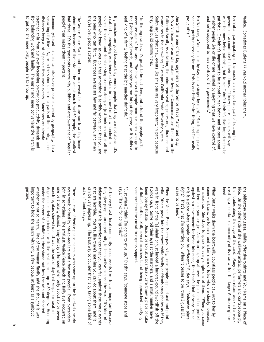| sprawling city like L.A., or in the suburbs and rural parts of the country, sheer<br>from balancing work and family. The easier and more convenient the march is<br>stretched thin from our ever increasing on-the-job productivity demands and<br>distances keep a lot of people from mass events. Americans are already<br>Community-based marches can also solve problems created by geography. In a<br>to get to, the more likely people are to show up.                                       | about not because of their size - the largest march had 50 people, the smallest<br>people" that makes them important.<br>had three. It's the grassroots community building and empowerment of "regular<br>The Venice Peace March and other local events like it are worth writing home | they're over, people scatter.<br>the ones who can fix it. But those events are few and far between, and when<br>people who know, as you do, that something is terribly wrong, and that you are<br>several thousand and chant or sing or drum along, or just look around at all the<br>a cathartic, energizing experience to stand in a crowd of a few hundred or<br>Big marches are good because they remind people that they are not alone.<br><b>It's</b> | the [Venice Peace] march, and people you run into at the store, so it builds a<br>real kind of a family feeling that the big marches don't do." | never see again," he says. "We have several people from our block who go to<br>"In the big marches, it's great to be out there, but a lot of the people you'll                                                 | Smith argues that small events like this one are very important, in part because<br>counselors in the sprawling 23-campus California State University system.<br>He's a Vietnam veteran who makes his living as Communications Director for the<br>they help build communities.<br>California Faculty Association, the union representing professors, libranans and | Jim Smith is one of the key organizers of the Venice Peace March and Rally.<br>proud of it."<br>seemed pretty necessary for me. This is our little Venice thing, and I'm really<br>For Williams, a Venice cook by day and a singer by night, "Marching for peace                                                                                   | whether people live or die or are harmed by anything that we have control of,<br>and we're supposed to have control of this government."                                                                                                     | patriotic. I think it's important to be a good human being and to care about<br>we're the ones being patriotic, but to me, I don't think it's that important to be<br>government accountable for their actions. "I know peace marchers will say<br>For Butler, participating in the march is an important part of holding her<br>Venice. Sometimes Butler's 77 year-old mother joins them |
|----------------------------------------------------------------------------------------------------------------------------------------------------------------------------------------------------------------------------------------------------------------------------------------------------------------------------------------------------------------------------------------------------------------------------------------------------------------------------------------------------|----------------------------------------------------------------------------------------------------------------------------------------------------------------------------------------------------------------------------------------------------------------------------------------|-------------------------------------------------------------------------------------------------------------------------------------------------------------------------------------------------------------------------------------------------------------------------------------------------------------------------------------------------------------------------------------------------------------------------------------------------------------|-------------------------------------------------------------------------------------------------------------------------------------------------|----------------------------------------------------------------------------------------------------------------------------------------------------------------------------------------------------------------|---------------------------------------------------------------------------------------------------------------------------------------------------------------------------------------------------------------------------------------------------------------------------------------------------------------------------------------------------------------------|----------------------------------------------------------------------------------------------------------------------------------------------------------------------------------------------------------------------------------------------------------------------------------------------------------------------------------------------------|----------------------------------------------------------------------------------------------------------------------------------------------------------------------------------------------------------------------------------------------|-------------------------------------------------------------------------------------------------------------------------------------------------------------------------------------------------------------------------------------------------------------------------------------------------------------------------------------------------------------------------------------------|
| gesture.<br>important<br>whether or not to march. One of the women finally said she thought it was<br>under the<br>Angelenos curled up indoors with the heat cranked up to 80 degrees. Huddling<br>march regulars showed up. It was the sort of day that keeps fair weather<br>one particularly dismal, rainy Sunday afternoon when only about six or seven<br>corner of a building, they stared out into the rain and debated<br>to hold the march with only a few people, at least as a symbolic | join in sometimes. The smallest Venice Peace March and Rally ever occurred on<br>every week, joined by not-so-regulars and a few new people. Even bystanders<br>There is a core of Venice peace marchers who show up on the boardwalk nearly                                           | that are horrible. You feel like there's nothing you can do about them, and it<br>defense against this powerlessness that you can feel against these world events<br>they give people an opportunity to keep active against the war. "It's kind of a<br>action," Smith says.<br>can be very depressing. The best way to counter that is by taking some kind of<br>At the very least, local community-based events like this are important because           | "Just when I think I'm going to give up," Dietlin says, "someone stops and<br>says, 'Thanks for doing this."                                    | someone from the crowd to express support.<br>at Butler's mother. Still, several marchers tell of being approached quietly by<br>been openly hostile. Once, a person at a boardwalk café threw a piece of cake | were in front of the Taj Mahal or just landed a hundred-pound swordfish off the<br>edly. Others press into the crowd while family or friends snap photos as if they<br>Florida Keys.<br>When the<br>Venice Peace March passes by, some people applaud and nod point-<br>Some roll their eyes at the marchers, and a small number have                               | out here and you see just American flags up all over the place and no protest<br>right? That's what I'm counting on. When it ceases to be, then I guess I'll<br>this is a place where people can be different," Butler says. "Bohemian place<br>against our government for being inhumane, then that's kind of scary, 'cause<br>cease to be here." | or almost so. She stops to speak to every single one of them. "When you come<br>name - artisans, performers, and a fair share of folks who are clearly homeless<br>When Butler walks down the boardwalk, countless people call out to her by | their trades along the edge of the sand. Many of them return week after week,<br>hood.<br>creating a<br>Rice.<br>the obligatory sunglasses, mildly offensive t-shirts and Your Name on a Piece of<br>$\frac{1}{2}$<br>the other side of the walkway artists, performers and craftspeople ply<br>boardwalk community of its own within the larger Venice neighbor-                         |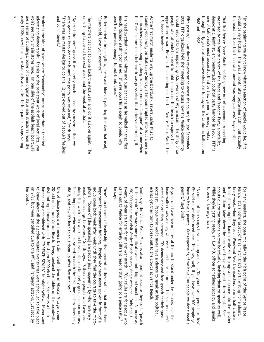| won't see many chain stores here. On one side of the asphalt beach boardwalk<br>early 1900s, now housing restaurants and cafés, tattoo parlors, shops selling<br>are a series of buildings, some of them original Italianate structures from the<br>advertising demographic. Thanks to the persistent work of local activists, you<br>Nerice is the kind of place where "community" means more than a targeted<br>and commitment."                                                                             | were going to keep doing this until the policy was reversed," Smith says.<br>"There was no master design to do this.<br>"By the third one I guess it was pretty much decided by consensus that we<br>It just evolved out of people's feelings | same thing happened the next week, and the week after that<br>"Jesus said, 'Love your enemies."<br>The marchers decided to come back the next week and do it all over again.<br>Butler carried a bright yellow, green and blue oil painting that day that read,<br>$\frac{1}{2}$                                                                                                                            | aren't we powerful enough to out-think them?"<br>march, Richard Washington asked, "If we're powerful enough to bomb, why<br>His head swathed in a red, white and blue bandana as he walked in that first                                                        | the Clear Channel radio behemoth was pressuring its stations not to play it.<br>the marchers passed, singing along to John Lennon's "Imagine" at a time when<br>standing-room-only on that sunny Sunday afternoon erupted into loud cheers as | opposition to war. Between that meeting and the first Venice Peace March, the<br>U.S. began bombing.<br>people who attended decided to hold a march on the beach to express their<br>As the first march made its way up the boardwalk, several cafés filled to                                                                                                                                    | should respond to the impending U.S. invasion of Afghanistan. The thirty or so<br>2001, PFP organizers held their meeting to discuss how the Venice community<br>With post-9/11 war drums reverberating across the country in late September<br>1968 until 1998.             | one of California's most successful third parties, garnering enough votes<br>democratic, feminist, environmentalist political party founded in 1967. PFP is<br>through thirty years of successive elections to stay on the California ballot from<br>organized by the Venice branch of the Peace and Freedom Party, a socialist,<br>That first Venice Peace March and Rally grew out of a community meeting | the reaction from the first march onward was very positive," says Smith.<br>would be very hostile. This was a month after September 11th. But actually<br>"In the beginning we didn't know what the reaction of people would be, if it      |
|----------------------------------------------------------------------------------------------------------------------------------------------------------------------------------------------------------------------------------------------------------------------------------------------------------------------------------------------------------------------------------------------------------------------------------------------------------------------------------------------------------------|-----------------------------------------------------------------------------------------------------------------------------------------------------------------------------------------------------------------------------------------------|-------------------------------------------------------------------------------------------------------------------------------------------------------------------------------------------------------------------------------------------------------------------------------------------------------------------------------------------------------------------------------------------------------------|-----------------------------------------------------------------------------------------------------------------------------------------------------------------------------------------------------------------------------------------------------------------|-----------------------------------------------------------------------------------------------------------------------------------------------------------------------------------------------------------------------------------------------|---------------------------------------------------------------------------------------------------------------------------------------------------------------------------------------------------------------------------------------------------------------------------------------------------------------------------------------------------------------------------------------------------|------------------------------------------------------------------------------------------------------------------------------------------------------------------------------------------------------------------------------------------------------------------------------|-------------------------------------------------------------------------------------------------------------------------------------------------------------------------------------------------------------------------------------------------------------------------------------------------------------------------------------------------------------------------------------------------------------|---------------------------------------------------------------------------------------------------------------------------------------------------------------------------------------------------------------------------------------------|
| on 9/11<br>to know about all the election-related events that were scheduled to take place<br>distributing information about the stolen 2000 election. She wears a black<br>baseball cap embroidered with "IMPEACH SCALIA" in bright yellow. If you want<br>One of those people is Therese Dietlin. Dietlin lives in Atwater Village, some<br>her booth.<br>20-odd miles from Venice Beach. Every weekend she tables on the boardwalk,<br>but were cancelled due to the WTC and Pentagon attacks, just stop by | doing this week after week and have gotten to be pretty good soapbox orators.<br>did it, and now it's hard to shut them up after five minutes."<br>Including<br>people who were just scared to death the first time or few times they         | emotional feelings to express," Smith says. "Others are people who have been<br>group come back week after week until they find the courage to take the micro-<br>important for movement building. People who have never spoken in front of a<br>phone. "Some of [the speakers] are people just happening by who have very<br>There's an element of leadership development at these rallies that makes them | twenty of them are there for an anti-war march.<br>came out<br>150,000 people may visit Venice Beach on any single weekend. Only about<br>he says.<br>to Venice for entirely different reasons than going to a peace rally,"<br>"Our rallies are for people who | to the choir" the way some political events both big and small do. As many as<br>Smith says the Venice Peace March is also important because they don't "preach                                                                               | events get their turn to speak out to the crowds at Venice Beach.<br>rootsiest.<br>vetted, nor are they censored. It's democracy and free speech at their grass-<br>boardwalk crowds and say whatever is on his or her mind. The speakers aren't<br>Anyone can have five minutes at the mic to stand under the banner, face the<br>People who would never have a chance to speak at big political | permit,"<br>have to have a permit. Our response is, if we have 300 people we don't need a<br>We said no, we don't need one. They say, well, if you have over 300 people you<br>"A couple of times cops have come up and said, 'Do you have a permit for this?'<br>says Smith | and Williams takes down the names of those who want a turn to talk. She<br>shouts out to the throngs on the boardwalk, inviting them to speak as well.<br>to one of the organizers.<br>While they're getting ready, an L.A.P.D. officer sometimes stops by and speaks<br>front of their big blue banner while Smith plugs a microphone into the speaker                                                     | Every week, when they reach Windward Ave. the marchers form a half circle in<br>March. It's another aspect of that march that's worth writing home about.<br>For many<br>regulars, the open mic rally is the high point of the Venice Peace |

 $\overline{a}$